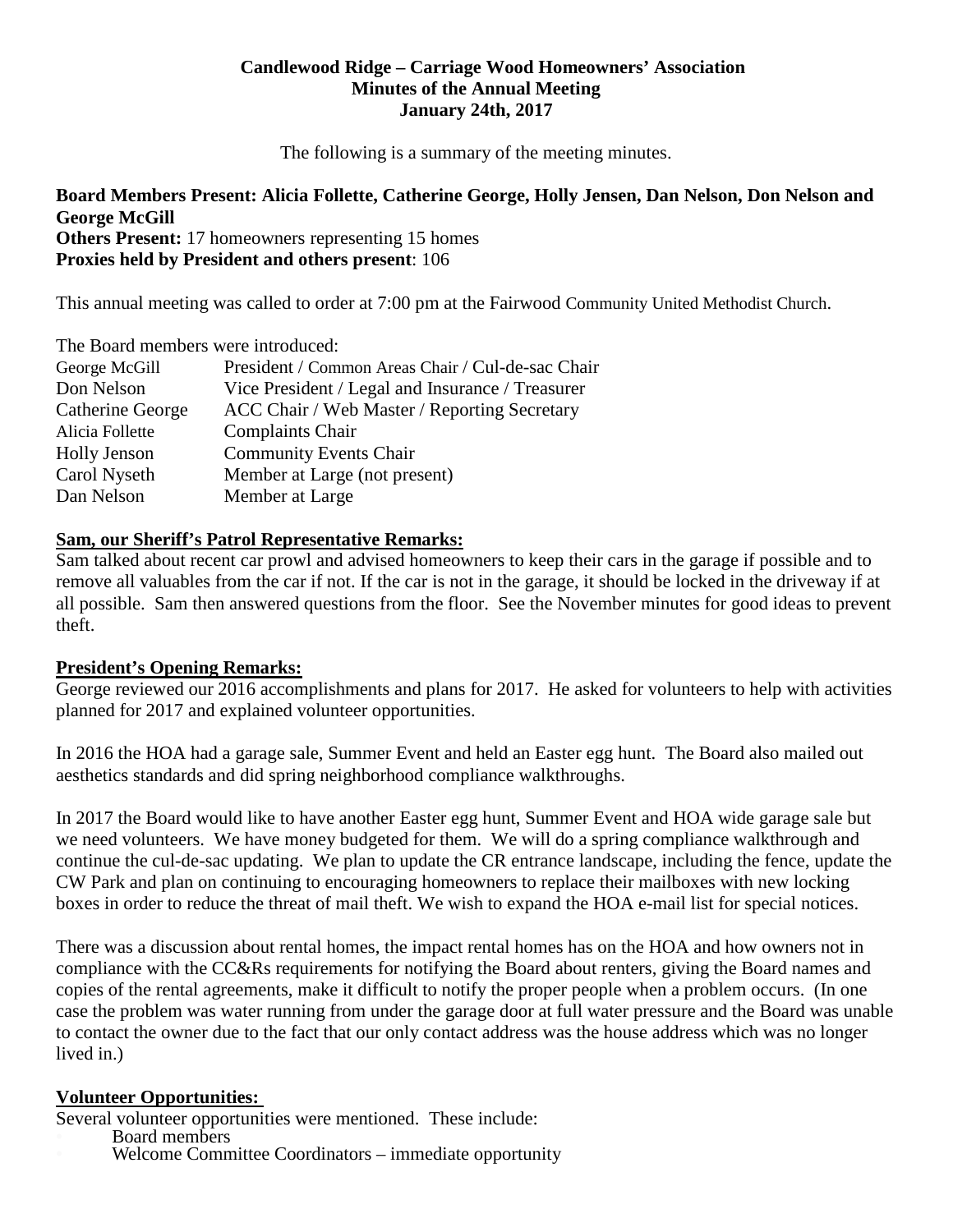#### **Candlewood Ridge – Carriage Wood Homeowners' Association Minutes of the Annual Meeting January 24th, 2017**

The following is a summary of the meeting minutes.

#### **Board Members Present: Alicia Follette, Catherine George, Holly Jensen, Dan Nelson, Don Nelson and George McGill Others Present:** 17 homeowners representing 15 homes

**Proxies held by President and others present**: 106

This annual meeting was called to order at 7:00 pm at the Fairwood Community United Methodist Church.

| The Board members were introduced: |                                                   |  |
|------------------------------------|---------------------------------------------------|--|
| George McGill                      | President / Common Areas Chair / Cul-de-sac Chair |  |
| Don Nelson                         | Vice President / Legal and Insurance / Treasurer  |  |
| Catherine George                   | ACC Chair / Web Master / Reporting Secretary      |  |
| Alicia Follette                    | <b>Complaints Chair</b>                           |  |
| <b>Holly Jenson</b>                | <b>Community Events Chair</b>                     |  |
| Carol Nyseth                       | Member at Large (not present)                     |  |
| Dan Nelson                         | Member at Large                                   |  |

## **Sam, our Sheriff's Patrol Representative Remarks:**

Sam talked about recent car prowl and advised homeowners to keep their cars in the garage if possible and to remove all valuables from the car if not. If the car is not in the garage, it should be locked in the driveway if at all possible. Sam then answered questions from the floor. See the November minutes for good ideas to prevent theft.

## **President's Opening Remarks:**

George reviewed our 2016 accomplishments and plans for 2017. He asked for volunteers to help with activities planned for 2017 and explained volunteer opportunities.

In 2016 the HOA had a garage sale, Summer Event and held an Easter egg hunt. The Board also mailed out aesthetics standards and did spring neighborhood compliance walkthroughs.

In 2017 the Board would like to have another Easter egg hunt, Summer Event and HOA wide garage sale but we need volunteers. We have money budgeted for them. We will do a spring compliance walkthrough and continue the cul-de-sac updating. We plan to update the CR entrance landscape, including the fence, update the CW Park and plan on continuing to encouraging homeowners to replace their mailboxes with new locking boxes in order to reduce the threat of mail theft. We wish to expand the HOA e-mail list for special notices.

There was a discussion about rental homes, the impact rental homes has on the HOA and how owners not in compliance with the CC&Rs requirements for notifying the Board about renters, giving the Board names and copies of the rental agreements, make it difficult to notify the proper people when a problem occurs. (In one case the problem was water running from under the garage door at full water pressure and the Board was unable to contact the owner due to the fact that our only contact address was the house address which was no longer lived in.)

## **Volunteer Opportunities:**

Several volunteer opportunities were mentioned. These include:

- 
- Welcome Committee Coordinators immediate opportunity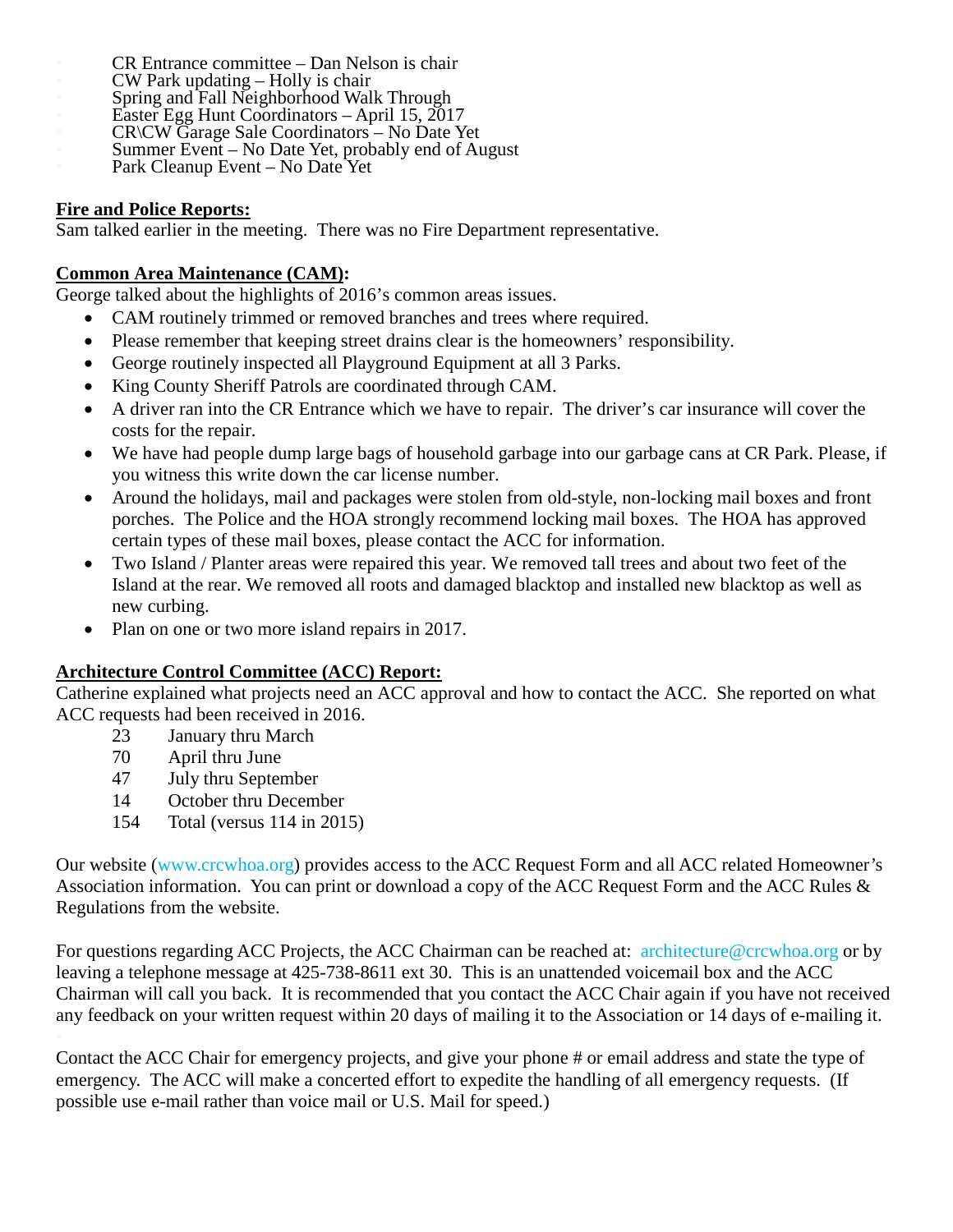- 
- 
- 
- 
- 
- CR Entrance committee Dan Nelson is chair<br>CW Park updating Holly is chair<br>Spring and Fall Neighborhood Walk Through<br>Easter Egg Hunt Coordinators April 15, 2017<br>CR\CW Garage Sale Coordinators No Date Yet<br>Summer Even
- 

# **Fire and Police Reports:**

Sam talked earlier in the meeting. There was no Fire Department representative.

# **Common Area Maintenance (CAM):**

George talked about the highlights of 2016's common areas issues.

- CAM routinely trimmed or removed branches and trees where required.
- Please remember that keeping street drains clear is the homeowners' responsibility.
- George routinely inspected all Playground Equipment at all 3 Parks.
- King County Sheriff Patrols are coordinated through CAM.
- A driver ran into the CR Entrance which we have to repair. The driver's car insurance will cover the costs for the repair.
- We have had people dump large bags of household garbage into our garbage cans at CR Park. Please, if you witness this write down the car license number.
- Around the holidays, mail and packages were stolen from old-style, non-locking mail boxes and front porches. The Police and the HOA strongly recommend locking mail boxes. The HOA has approved certain types of these mail boxes, please contact the ACC for information.
- Two Island / Planter areas were repaired this year. We removed tall trees and about two feet of the Island at the rear. We removed all roots and damaged blacktop and installed new blacktop as well as new curbing.
- Plan on one or two more island repairs in 2017.

# **Architecture Control Committee (ACC) Report:**

Catherine explained what projects need an ACC approval and how to contact the ACC. She reported on what ACC requests had been received in 2016.

- 23 January thru March
- 70 April thru June
- 47 July thru September
- 14 October thru December
- 154 Total (versus 114 in 2015)

Our website (www.crcwhoa.org) provides access to the ACC Request Form and all ACC related Homeowner's Association information. You can print or download a copy of the ACC Request Form and the ACC Rules & Regulations from the website.

For questions regarding ACC Projects, the ACC Chairman can be reached at: architecture@crcwhoa.org or by leaving a telephone message at 425-738-8611 ext 30. This is an unattended voicemail box and the ACC Chairman will call you back. It is recommended that you contact the ACC Chair again if you have not received any feedback on your written request within 20 days of mailing it to the Association or 14 days of e-mailing it.

Contact the ACC Chair for emergency projects, and give your phone # or email address and state the type of emergency. The ACC will make a concerted effort to expedite the handling of all emergency requests. (If possible use e-mail rather than voice mail or U.S. Mail for speed.)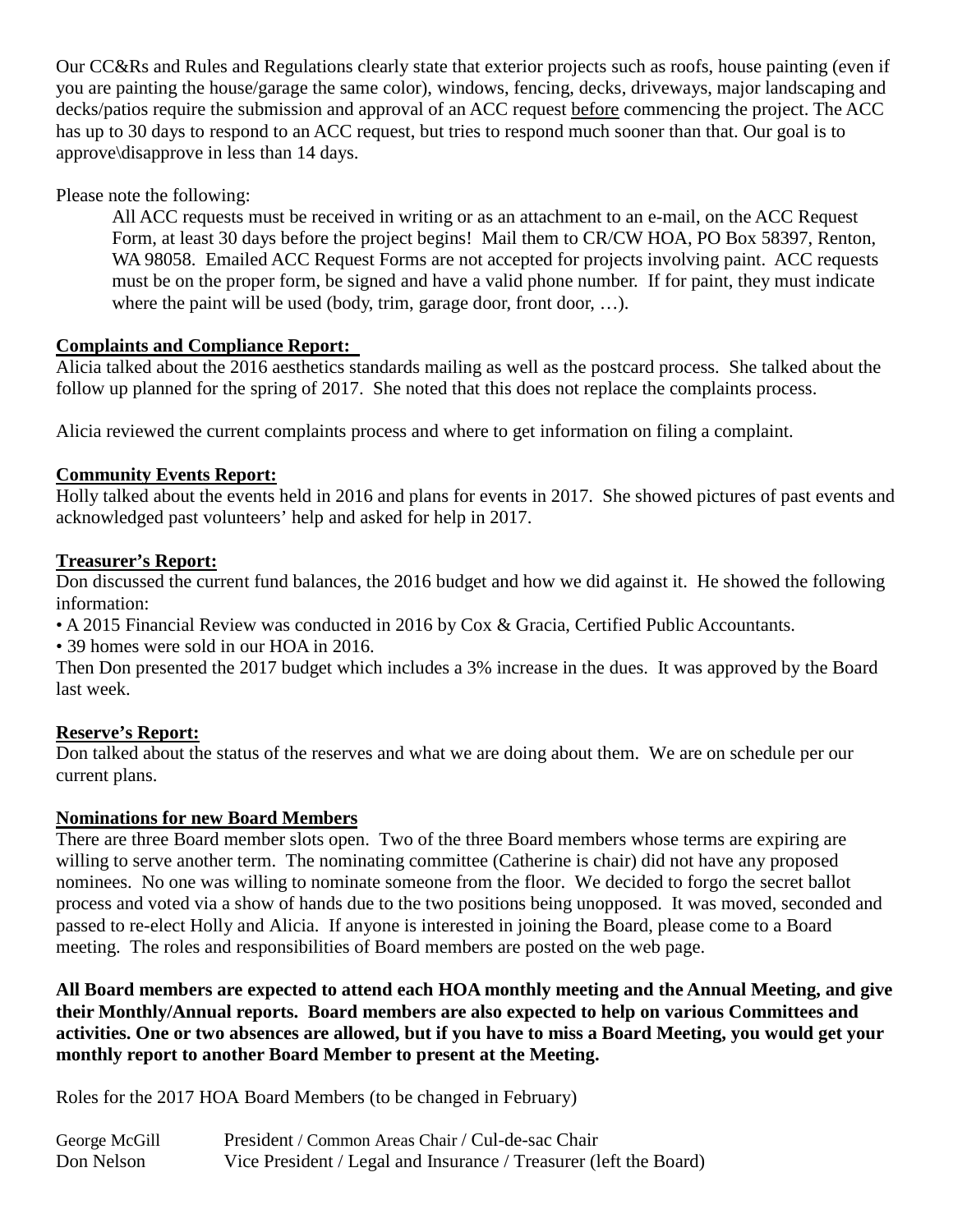Our CC&Rs and Rules and Regulations clearly state that exterior projects such as roofs, house painting (even if you are painting the house/garage the same color), windows, fencing, decks, driveways, major landscaping and decks/patios require the submission and approval of an ACC request before commencing the project. The ACC has up to 30 days to respond to an ACC request, but tries to respond much sooner than that. Our goal is to approve\disapprove in less than 14 days.

Please note the following:

All ACC requests must be received in writing or as an attachment to an e-mail, on the ACC Request Form, at least 30 days before the project begins! Mail them to CR/CW HOA, PO Box 58397, Renton, WA 98058. Emailed ACC Request Forms are not accepted for projects involving paint. ACC requests must be on the proper form, be signed and have a valid phone number. If for paint, they must indicate where the paint will be used (body, trim, garage door, front door, ...).

# **Complaints and Compliance Report:**

Alicia talked about the 2016 aesthetics standards mailing as well as the postcard process. She talked about the follow up planned for the spring of 2017. She noted that this does not replace the complaints process.

Alicia reviewed the current complaints process and where to get information on filing a complaint.

# **Community Events Report:**

Holly talked about the events held in 2016 and plans for events in 2017. She showed pictures of past events and acknowledged past volunteers' help and asked for help in 2017.

## **Treasurer's Report:**

Don discussed the current fund balances, the 2016 budget and how we did against it. He showed the following information:

• A 2015 Financial Review was conducted in 2016 by Cox & Gracia, Certified Public Accountants.

• 39 homes were sold in our HOA in 2016.

Then Don presented the 2017 budget which includes a 3% increase in the dues. It was approved by the Board last week.

# **Reserve's Report:**

Don talked about the status of the reserves and what we are doing about them. We are on schedule per our current plans.

## **Nominations for new Board Members**

There are three Board member slots open. Two of the three Board members whose terms are expiring are willing to serve another term. The nominating committee (Catherine is chair) did not have any proposed nominees. No one was willing to nominate someone from the floor. We decided to forgo the secret ballot process and voted via a show of hands due to the two positions being unopposed. It was moved, seconded and passed to re-elect Holly and Alicia. If anyone is interested in joining the Board, please come to a Board meeting. The roles and responsibilities of Board members are posted on the web page.

**All Board members are expected to attend each HOA monthly meeting and the Annual Meeting, and give their Monthly/Annual reports. Board members are also expected to help on various Committees and activities. One or two absences are allowed, but if you have to miss a Board Meeting, you would get your monthly report to another Board Member to present at the Meeting.**

Roles for the 2017 HOA Board Members (to be changed in February)

| George McGill | President / Common Areas Chair / Cul-de-sac Chair                 |
|---------------|-------------------------------------------------------------------|
| Don Nelson    | Vice President / Legal and Insurance / Treasurer (left the Board) |